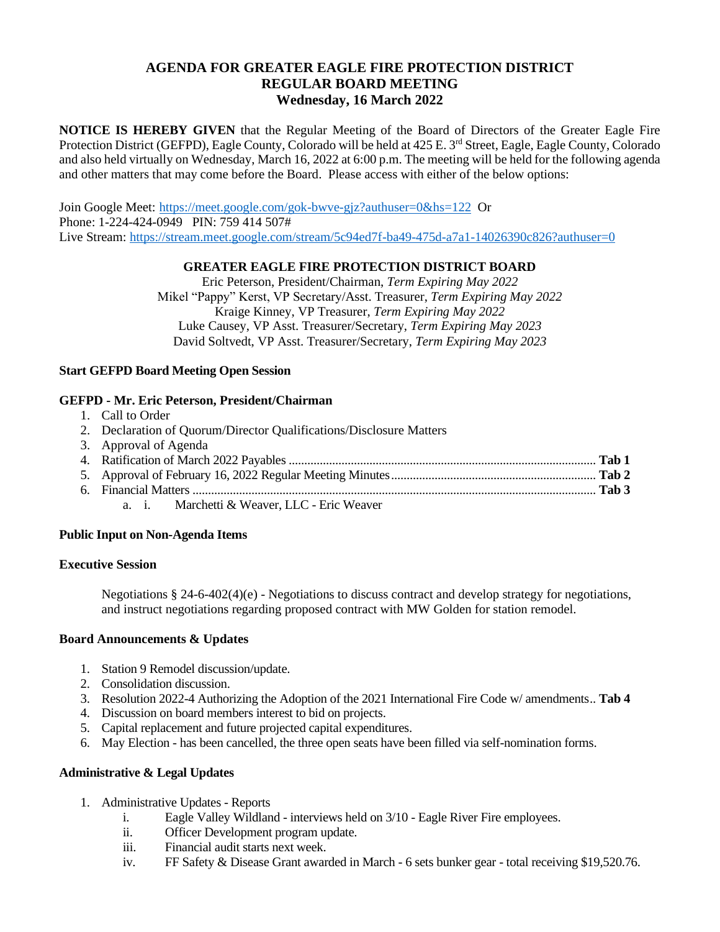# **AGENDA FOR GREATER EAGLE FIRE PROTECTION DISTRICT REGULAR BOARD MEETING Wednesday, 16 March 2022**

**NOTICE IS HEREBY GIVEN** that the Regular Meeting of the Board of Directors of the Greater Eagle Fire Protection District (GEFPD), Eagle County, Colorado will be held at 425 E. 3<sup>rd</sup> Street, Eagle, Eagle County, Colorado and also held virtually on Wednesday, March 16, 2022 at 6:00 p.m. The meeting will be held for the following agenda and other matters that may come before the Board. Please access with either of the below options:

Join Google Meet: <https://meet.google.com/gok-bwve-gjz?authuser=0&hs=122>Or Phone: 1-224-424-0949 PIN: 759 414 507# Live Stream:<https://stream.meet.google.com/stream/5c94ed7f-ba49-475d-a7a1-14026390c826?authuser=0>

## **GREATER EAGLE FIRE PROTECTION DISTRICT BOARD**

Eric Peterson, President/Chairman, *Term Expiring May 2022* Mikel "Pappy" Kerst, VP Secretary/Asst. Treasurer, *Term Expiring May 2022* Kraige Kinney, VP Treasurer, *Term Expiring May 2022* Luke Causey, VP Asst. Treasurer/Secretary, *Term Expiring May 2023* David Soltvedt, VP Asst. Treasurer/Secretary, *Term Expiring May 2023*

## **Start GEFPD Board Meeting Open Session**

## **GEFPD - Mr. Eric Peterson, President/Chairman**

- 1. Call to Order
- 2. Declaration of Quorum/Director Qualifications/Disclosure Matters

| 3. Approval of Agenda                       |  |
|---------------------------------------------|--|
|                                             |  |
|                                             |  |
|                                             |  |
| a. i. Marchetti & Weaver, LLC - Eric Weaver |  |

### **Public Input on Non-Agenda Items**

### **Executive Session**

Negotiations § 24-6-402(4)(e) - Negotiations to discuss contract and develop strategy for negotiations, and instruct negotiations regarding proposed contract with MW Golden for station remodel.

### **Board Announcements & Updates**

- 1. Station 9 Remodel discussion/update.
- 2. Consolidation discussion.
- 3. Resolution 2022-4 Authorizing the Adoption of the 2021 International Fire Code w/ amendments.. **Tab 4**
- 4. Discussion on board members interest to bid on projects.
- 5. Capital replacement and future projected capital expenditures.
- 6. May Election has been cancelled, the three open seats have been filled via self-nomination forms.

# **Administrative & Legal Updates**

- 1. Administrative Updates Reports
	- i. Eagle Valley Wildland interviews held on 3/10 Eagle River Fire employees.
	- ii. Officer Development program update.
	- iii. Financial audit starts next week.
	- iv. FF Safety & Disease Grant awarded in March 6 sets bunker gear total receiving \$19,520.76.